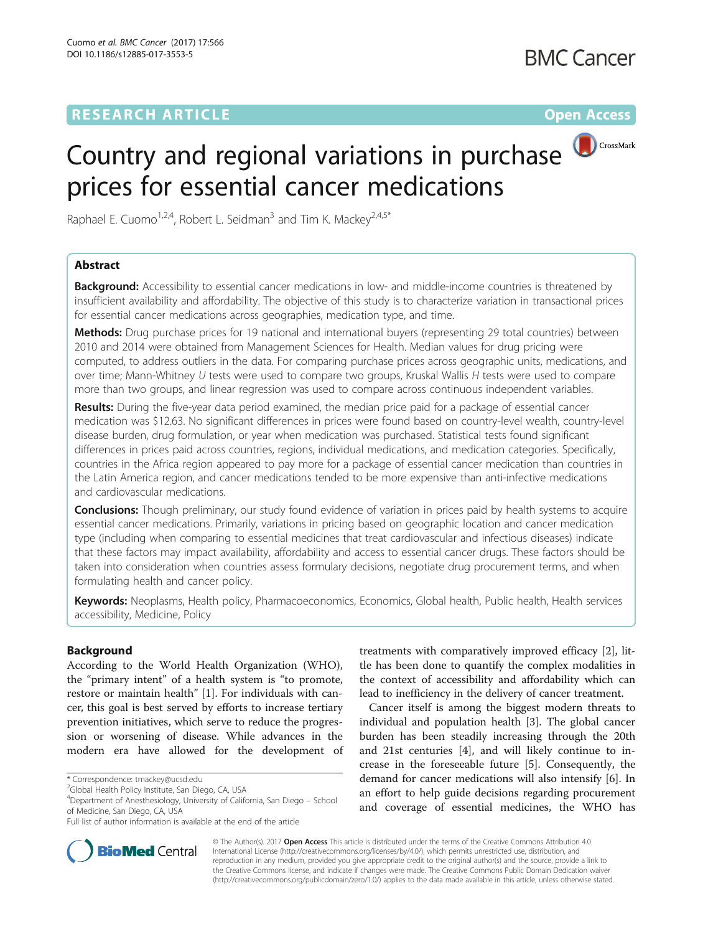## **RESEARCH ARTICLE External Structure Community Community Community Community Community Community Community Community**



# Country and regional variations in purchase prices for essential cancer medications

Raphael E. Cuomo<sup>1,2,4</sup>, Robert L. Seidman<sup>3</sup> and Tim K. Mackey<sup>2,4,5\*</sup>

## Abstract

**Background:** Accessibility to essential cancer medications in low- and middle-income countries is threatened by insufficient availability and affordability. The objective of this study is to characterize variation in transactional prices for essential cancer medications across geographies, medication type, and time.

Methods: Drug purchase prices for 19 national and international buyers (representing 29 total countries) between 2010 and 2014 were obtained from Management Sciences for Health. Median values for drug pricing were computed, to address outliers in the data. For comparing purchase prices across geographic units, medications, and over time; Mann-Whitney U tests were used to compare two groups, Kruskal Wallis H tests were used to compare more than two groups, and linear regression was used to compare across continuous independent variables.

Results: During the five-year data period examined, the median price paid for a package of essential cancer medication was \$12.63. No significant differences in prices were found based on country-level wealth, country-level disease burden, drug formulation, or year when medication was purchased. Statistical tests found significant differences in prices paid across countries, regions, individual medications, and medication categories. Specifically, countries in the Africa region appeared to pay more for a package of essential cancer medication than countries in the Latin America region, and cancer medications tended to be more expensive than anti-infective medications and cardiovascular medications.

**Conclusions:** Though preliminary, our study found evidence of variation in prices paid by health systems to acquire essential cancer medications. Primarily, variations in pricing based on geographic location and cancer medication type (including when comparing to essential medicines that treat cardiovascular and infectious diseases) indicate that these factors may impact availability, affordability and access to essential cancer drugs. These factors should be taken into consideration when countries assess formulary decisions, negotiate drug procurement terms, and when formulating health and cancer policy.

Keywords: Neoplasms, Health policy, Pharmacoeconomics, Economics, Global health, Public health, Health services accessibility, Medicine, Policy

## Background

According to the World Health Organization (WHO), the "primary intent" of a health system is "to promote, restore or maintain health" [\[1](#page-8-0)]. For individuals with cancer, this goal is best served by efforts to increase tertiary prevention initiatives, which serve to reduce the progression or worsening of disease. While advances in the modern era have allowed for the development of

treatments with comparatively improved efficacy [\[2](#page-8-0)], little has been done to quantify the complex modalities in the context of accessibility and affordability which can lead to inefficiency in the delivery of cancer treatment.

Cancer itself is among the biggest modern threats to individual and population health [[3\]](#page-8-0). The global cancer burden has been steadily increasing through the 20th and 21st centuries [[4\]](#page-8-0), and will likely continue to increase in the foreseeable future [[5\]](#page-8-0). Consequently, the demand for cancer medications will also intensify [\[6](#page-8-0)]. In an effort to help guide decisions regarding procurement and coverage of essential medicines, the WHO has



© The Author(s). 2017 **Open Access** This article is distributed under the terms of the Creative Commons Attribution 4.0 International License [\(http://creativecommons.org/licenses/by/4.0/](http://creativecommons.org/licenses/by/4.0/)), which permits unrestricted use, distribution, and reproduction in any medium, provided you give appropriate credit to the original author(s) and the source, provide a link to the Creative Commons license, and indicate if changes were made. The Creative Commons Public Domain Dedication waiver [\(http://creativecommons.org/publicdomain/zero/1.0/](http://creativecommons.org/publicdomain/zero/1.0/)) applies to the data made available in this article, unless otherwise stated.

<sup>\*</sup> Correspondence: [tmackey@ucsd.edu](mailto:tmackey@ucsd.edu) <sup>2</sup>

<sup>&</sup>lt;sup>2</sup>Global Health Policy Institute, San Diego, CA, USA

<sup>4</sup> Department of Anesthesiology, University of California, San Diego – School of Medicine, San Diego, CA, USA

Full list of author information is available at the end of the article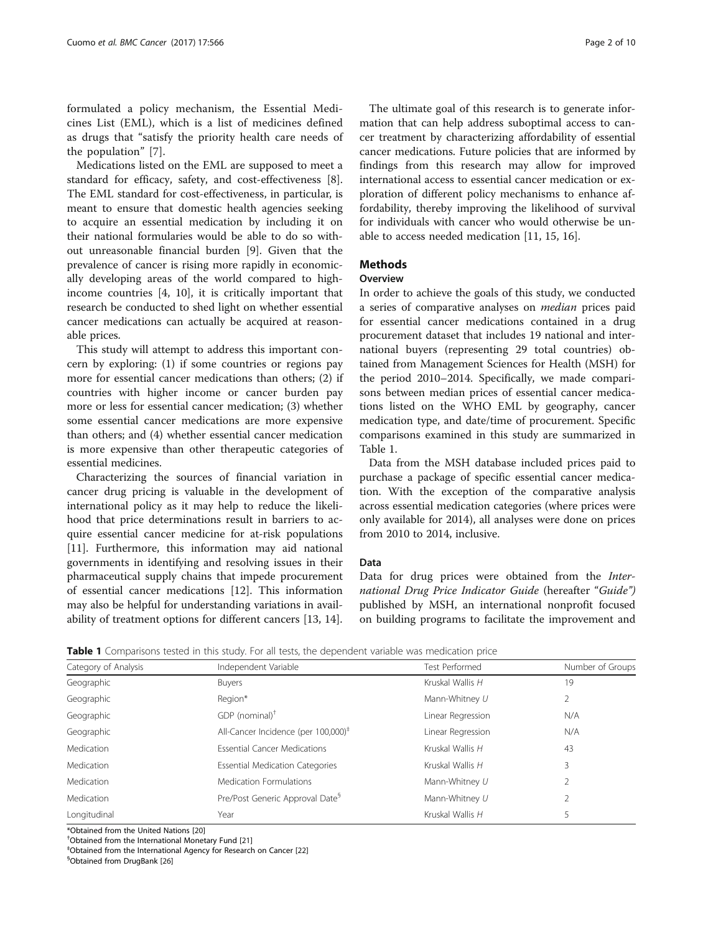formulated a policy mechanism, the Essential Medicines List (EML), which is a list of medicines defined as drugs that "satisfy the priority health care needs of the population" [[7\]](#page-8-0).

Medications listed on the EML are supposed to meet a standard for efficacy, safety, and cost-effectiveness [\[8](#page-8-0)]. The EML standard for cost-effectiveness, in particular, is meant to ensure that domestic health agencies seeking to acquire an essential medication by including it on their national formularies would be able to do so without unreasonable financial burden [[9\]](#page-8-0). Given that the prevalence of cancer is rising more rapidly in economically developing areas of the world compared to highincome countries [\[4, 10\]](#page-8-0), it is critically important that research be conducted to shed light on whether essential cancer medications can actually be acquired at reasonable prices.

This study will attempt to address this important concern by exploring: (1) if some countries or regions pay more for essential cancer medications than others; (2) if countries with higher income or cancer burden pay more or less for essential cancer medication; (3) whether some essential cancer medications are more expensive than others; and (4) whether essential cancer medication is more expensive than other therapeutic categories of essential medicines.

Characterizing the sources of financial variation in cancer drug pricing is valuable in the development of international policy as it may help to reduce the likelihood that price determinations result in barriers to acquire essential cancer medicine for at-risk populations [[11\]](#page-8-0). Furthermore, this information may aid national governments in identifying and resolving issues in their pharmaceutical supply chains that impede procurement of essential cancer medications [[12](#page-8-0)]. This information may also be helpful for understanding variations in availability of treatment options for different cancers [\[13](#page-8-0), [14\]](#page-8-0).

The ultimate goal of this research is to generate information that can help address suboptimal access to cancer treatment by characterizing affordability of essential cancer medications. Future policies that are informed by findings from this research may allow for improved international access to essential cancer medication or exploration of different policy mechanisms to enhance affordability, thereby improving the likelihood of survival for individuals with cancer who would otherwise be unable to access needed medication [[11, 15, 16\]](#page-8-0).

## **Methods**

## **Overview**

In order to achieve the goals of this study, we conducted a series of comparative analyses on median prices paid for essential cancer medications contained in a drug procurement dataset that includes 19 national and international buyers (representing 29 total countries) obtained from Management Sciences for Health (MSH) for the period 2010–2014. Specifically, we made comparisons between median prices of essential cancer medications listed on the WHO EML by geography, cancer medication type, and date/time of procurement. Specific comparisons examined in this study are summarized in Table 1.

Data from the MSH database included prices paid to purchase a package of specific essential cancer medication. With the exception of the comparative analysis across essential medication categories (where prices were only available for 2014), all analyses were done on prices from 2010 to 2014, inclusive.

## Data

Data for drug prices were obtained from the International Drug Price Indicator Guide (hereafter "Guide") published by MSH, an international nonprofit focused on building programs to facilitate the improvement and

**Table 1** Comparisons tested in this study. For all tests, the dependent variable was medication price

|                      | <b>TWINK I</b> COMPUTIONS tested in this study. For an tests, the dependent vanualle vitas incurdation phile<br>Independent Variable | <b>Test Performed</b> |                  |  |
|----------------------|--------------------------------------------------------------------------------------------------------------------------------------|-----------------------|------------------|--|
| Category of Analysis |                                                                                                                                      |                       | Number of Groups |  |
| Geographic           | Buyers                                                                                                                               | Kruskal Wallis H      | 19               |  |
| Geographic           | Region*                                                                                                                              | Mann-Whitney U        | 2                |  |
| Geographic           | $GDP$ (nominal) <sup>†</sup>                                                                                                         | Linear Regression     | N/A              |  |
| Geographic           | All-Cancer Incidence (per 100,000) <sup>‡</sup>                                                                                      | Linear Regression     | N/A              |  |
| Medication           | <b>Essential Cancer Medications</b>                                                                                                  | Kruskal Wallis H      | 43               |  |
| Medication           | <b>Essential Medication Categories</b>                                                                                               | Kruskal Wallis H      | 3                |  |
| Medication           | Medication Formulations                                                                                                              | Mann-Whitney U        |                  |  |
| Medication           | Pre/Post Generic Approval Date <sup>9</sup>                                                                                          | Mann-Whitney U        |                  |  |
| Longitudinal         | Year                                                                                                                                 | Kruskal Wallis H      |                  |  |

\*Obtained from the United Nations [[20](#page-8-0)] †

Obtained from the International Monetary Fund [[21](#page-8-0)] ‡

Obtained from the International Agency for Research on Cancer [\[22](#page-8-0)] §

Obtained from DrugBank [[26\]](#page-8-0)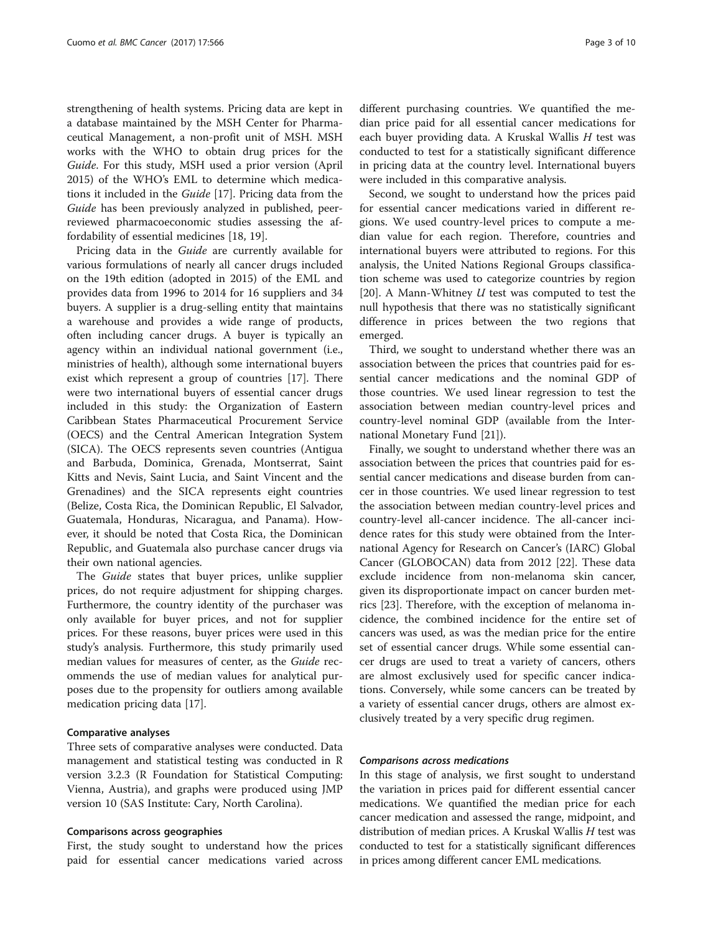strengthening of health systems. Pricing data are kept in a database maintained by the MSH Center for Pharmaceutical Management, a non-profit unit of MSH. MSH works with the WHO to obtain drug prices for the Guide. For this study, MSH used a prior version (April 2015) of the WHO's EML to determine which medications it included in the Guide [\[17](#page-8-0)]. Pricing data from the Guide has been previously analyzed in published, peerreviewed pharmacoeconomic studies assessing the affordability of essential medicines [[18](#page-8-0), [19](#page-8-0)].

Pricing data in the Guide are currently available for various formulations of nearly all cancer drugs included on the 19th edition (adopted in 2015) of the EML and provides data from 1996 to 2014 for 16 suppliers and 34 buyers. A supplier is a drug-selling entity that maintains a warehouse and provides a wide range of products, often including cancer drugs. A buyer is typically an agency within an individual national government (i.e., ministries of health), although some international buyers exist which represent a group of countries [[17\]](#page-8-0). There were two international buyers of essential cancer drugs included in this study: the Organization of Eastern Caribbean States Pharmaceutical Procurement Service (OECS) and the Central American Integration System (SICA). The OECS represents seven countries (Antigua and Barbuda, Dominica, Grenada, Montserrat, Saint Kitts and Nevis, Saint Lucia, and Saint Vincent and the Grenadines) and the SICA represents eight countries (Belize, Costa Rica, the Dominican Republic, El Salvador, Guatemala, Honduras, Nicaragua, and Panama). However, it should be noted that Costa Rica, the Dominican Republic, and Guatemala also purchase cancer drugs via their own national agencies.

The *Guide* states that buyer prices, unlike supplier prices, do not require adjustment for shipping charges. Furthermore, the country identity of the purchaser was only available for buyer prices, and not for supplier prices. For these reasons, buyer prices were used in this study's analysis. Furthermore, this study primarily used median values for measures of center, as the Guide recommends the use of median values for analytical purposes due to the propensity for outliers among available medication pricing data [[17\]](#page-8-0).

## Comparative analyses

Three sets of comparative analyses were conducted. Data management and statistical testing was conducted in R version 3.2.3 (R Foundation for Statistical Computing: Vienna, Austria), and graphs were produced using JMP version 10 (SAS Institute: Cary, North Carolina).

## Comparisons across geographies

First, the study sought to understand how the prices paid for essential cancer medications varied across different purchasing countries. We quantified the median price paid for all essential cancer medications for each buyer providing data. A Kruskal Wallis H test was conducted to test for a statistically significant difference in pricing data at the country level. International buyers were included in this comparative analysis.

Second, we sought to understand how the prices paid for essential cancer medications varied in different regions. We used country-level prices to compute a median value for each region. Therefore, countries and international buyers were attributed to regions. For this analysis, the United Nations Regional Groups classification scheme was used to categorize countries by region [[20\]](#page-8-0). A Mann-Whitney  $U$  test was computed to test the null hypothesis that there was no statistically significant difference in prices between the two regions that emerged.

Third, we sought to understand whether there was an association between the prices that countries paid for essential cancer medications and the nominal GDP of those countries. We used linear regression to test the association between median country-level prices and country-level nominal GDP (available from the International Monetary Fund [[21](#page-8-0)]).

Finally, we sought to understand whether there was an association between the prices that countries paid for essential cancer medications and disease burden from cancer in those countries. We used linear regression to test the association between median country-level prices and country-level all-cancer incidence. The all-cancer incidence rates for this study were obtained from the International Agency for Research on Cancer's (IARC) Global Cancer (GLOBOCAN) data from 2012 [\[22](#page-8-0)]. These data exclude incidence from non-melanoma skin cancer, given its disproportionate impact on cancer burden metrics [[23](#page-8-0)]. Therefore, with the exception of melanoma incidence, the combined incidence for the entire set of cancers was used, as was the median price for the entire set of essential cancer drugs. While some essential cancer drugs are used to treat a variety of cancers, others are almost exclusively used for specific cancer indications. Conversely, while some cancers can be treated by a variety of essential cancer drugs, others are almost exclusively treated by a very specific drug regimen.

## Comparisons across medications

In this stage of analysis, we first sought to understand the variation in prices paid for different essential cancer medications. We quantified the median price for each cancer medication and assessed the range, midpoint, and distribution of median prices. A Kruskal Wallis H test was conducted to test for a statistically significant differences in prices among different cancer EML medications.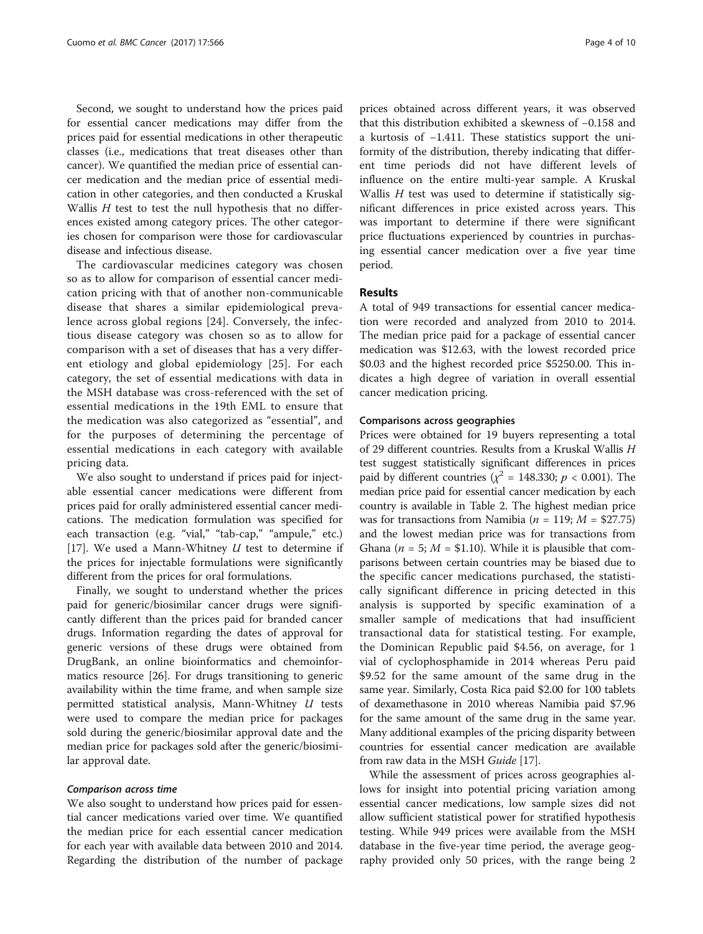Second, we sought to understand how the prices paid for essential cancer medications may differ from the prices paid for essential medications in other therapeutic classes (i.e., medications that treat diseases other than cancer). We quantified the median price of essential cancer medication and the median price of essential medication in other categories, and then conducted a Kruskal Wallis H test to test the null hypothesis that no differences existed among category prices. The other categories chosen for comparison were those for cardiovascular disease and infectious disease.

The cardiovascular medicines category was chosen so as to allow for comparison of essential cancer medication pricing with that of another non-communicable disease that shares a similar epidemiological prevalence across global regions [\[24](#page-8-0)]. Conversely, the infectious disease category was chosen so as to allow for comparison with a set of diseases that has a very different etiology and global epidemiology [[25\]](#page-8-0). For each category, the set of essential medications with data in the MSH database was cross-referenced with the set of essential medications in the 19th EML to ensure that the medication was also categorized as "essential", and for the purposes of determining the percentage of essential medications in each category with available pricing data.

We also sought to understand if prices paid for injectable essential cancer medications were different from prices paid for orally administered essential cancer medications. The medication formulation was specified for each transaction (e.g. "vial," "tab-cap," "ampule," etc.) [[17\]](#page-8-0). We used a Mann-Whitney  $U$  test to determine if the prices for injectable formulations were significantly different from the prices for oral formulations.

Finally, we sought to understand whether the prices paid for generic/biosimilar cancer drugs were significantly different than the prices paid for branded cancer drugs. Information regarding the dates of approval for generic versions of these drugs were obtained from DrugBank, an online bioinformatics and chemoinformatics resource [\[26\]](#page-8-0). For drugs transitioning to generic availability within the time frame, and when sample size permitted statistical analysis, Mann-Whitney U tests were used to compare the median price for packages sold during the generic/biosimilar approval date and the median price for packages sold after the generic/biosimilar approval date.

### Comparison across time

We also sought to understand how prices paid for essential cancer medications varied over time. We quantified the median price for each essential cancer medication for each year with available data between 2010 and 2014. Regarding the distribution of the number of package

prices obtained across different years, it was observed that this distribution exhibited a skewness of −0.158 and a kurtosis of −1.411. These statistics support the uniformity of the distribution, thereby indicating that different time periods did not have different levels of influence on the entire multi-year sample. A Kruskal Wallis  $H$  test was used to determine if statistically significant differences in price existed across years. This was important to determine if there were significant price fluctuations experienced by countries in purchasing essential cancer medication over a five year time period.

## Results

A total of 949 transactions for essential cancer medication were recorded and analyzed from 2010 to 2014. The median price paid for a package of essential cancer medication was \$12.63, with the lowest recorded price \$0.03 and the highest recorded price \$5250.00. This indicates a high degree of variation in overall essential cancer medication pricing.

## Comparisons across geographies

Prices were obtained for 19 buyers representing a total of 29 different countries. Results from a Kruskal Wallis H test suggest statistically significant differences in prices paid by different countries ( $\chi^2$  = 148.330;  $p$  < 0.001). The median price paid for essential cancer medication by each country is available in Table [2](#page-4-0). The highest median price was for transactions from Namibia ( $n = 119$ ;  $M = $27.75$ ) and the lowest median price was for transactions from Ghana ( $n = 5$ ;  $M = $1.10$ ). While it is plausible that comparisons between certain countries may be biased due to the specific cancer medications purchased, the statistically significant difference in pricing detected in this analysis is supported by specific examination of a smaller sample of medications that had insufficient transactional data for statistical testing. For example, the Dominican Republic paid \$4.56, on average, for 1 vial of cyclophosphamide in 2014 whereas Peru paid \$9.52 for the same amount of the same drug in the same year. Similarly, Costa Rica paid \$2.00 for 100 tablets of dexamethasone in 2010 whereas Namibia paid \$7.96 for the same amount of the same drug in the same year. Many additional examples of the pricing disparity between countries for essential cancer medication are available from raw data in the MSH Guide [\[17\]](#page-8-0).

While the assessment of prices across geographies allows for insight into potential pricing variation among essential cancer medications, low sample sizes did not allow sufficient statistical power for stratified hypothesis testing. While 949 prices were available from the MSH database in the five-year time period, the average geography provided only 50 prices, with the range being 2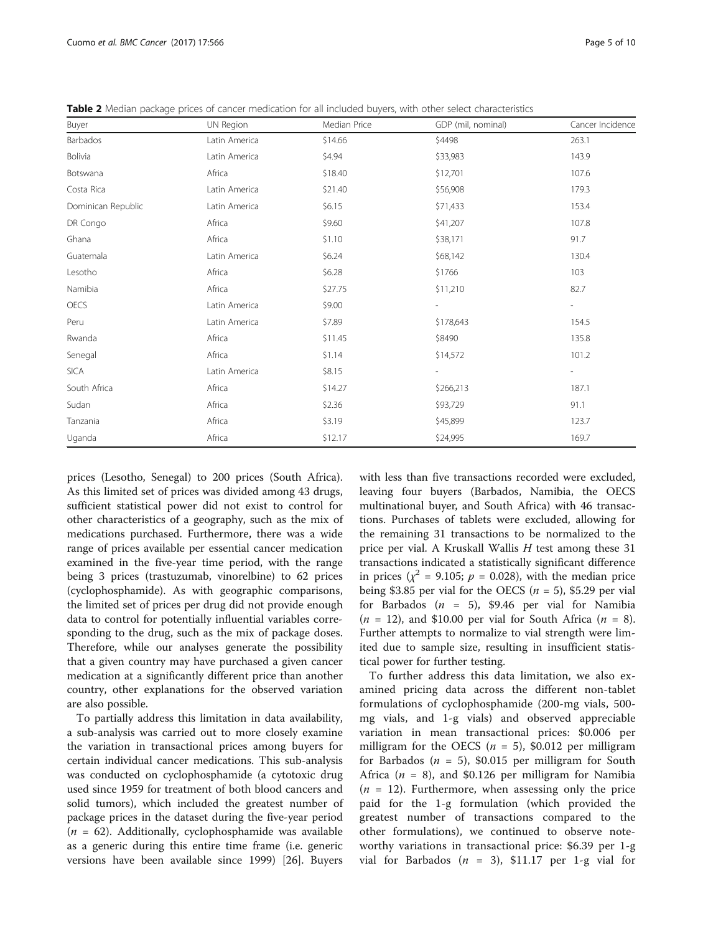<span id="page-4-0"></span>

|  |  |  |  | Table 2 Median package prices of cancer medication for all included buyers, with other select characteristics |
|--|--|--|--|---------------------------------------------------------------------------------------------------------------|
|--|--|--|--|---------------------------------------------------------------------------------------------------------------|

| Buyer              | UN Region     | Median Price | GDP (mil, nominal) | Cancer Incidence         |
|--------------------|---------------|--------------|--------------------|--------------------------|
| Barbados           | Latin America | \$14.66      | \$4498             | 263.1                    |
| Bolivia            | Latin America | \$4.94       | \$33,983           | 143.9                    |
| Botswana           | Africa        | \$18.40      | \$12,701           | 107.6                    |
| Costa Rica         | Latin America | \$21.40      | \$56,908           | 179.3                    |
| Dominican Republic | Latin America | \$6.15       | \$71,433           | 153.4                    |
| DR Congo           | Africa        | \$9.60       | \$41,207           | 107.8                    |
| Ghana              | Africa        | \$1.10       | \$38,171           | 91.7                     |
| Guatemala          | Latin America | \$6.24       | \$68,142           | 130.4                    |
| Lesotho            | Africa        | \$6.28       | \$1766             | 103                      |
| Namibia            | Africa        | \$27.75      | \$11,210           | 82.7                     |
| <b>OECS</b>        | Latin America | \$9.00       |                    |                          |
| Peru               | Latin America | \$7.89       | \$178,643          | 154.5                    |
| Rwanda             | Africa        | \$11.45      | \$8490             | 135.8                    |
| Senegal            | Africa        | \$1.14       | \$14,572           | 101.2                    |
| <b>SICA</b>        | Latin America | \$8.15       | $\overline{a}$     | $\overline{\phantom{a}}$ |
| South Africa       | Africa        | \$14.27      | \$266,213          | 187.1                    |
| Sudan              | Africa        | \$2.36       | \$93,729           | 91.1                     |
| Tanzania           | Africa        | \$3.19       | \$45,899           | 123.7                    |
| Uganda             | Africa        | \$12.17      | \$24,995           | 169.7                    |

prices (Lesotho, Senegal) to 200 prices (South Africa). As this limited set of prices was divided among 43 drugs, sufficient statistical power did not exist to control for other characteristics of a geography, such as the mix of medications purchased. Furthermore, there was a wide range of prices available per essential cancer medication examined in the five-year time period, with the range being 3 prices (trastuzumab, vinorelbine) to 62 prices (cyclophosphamide). As with geographic comparisons, the limited set of prices per drug did not provide enough data to control for potentially influential variables corresponding to the drug, such as the mix of package doses. Therefore, while our analyses generate the possibility that a given country may have purchased a given cancer medication at a significantly different price than another country, other explanations for the observed variation are also possible.

To partially address this limitation in data availability, a sub-analysis was carried out to more closely examine the variation in transactional prices among buyers for certain individual cancer medications. This sub-analysis was conducted on cyclophosphamide (a cytotoxic drug used since 1959 for treatment of both blood cancers and solid tumors), which included the greatest number of package prices in the dataset during the five-year period  $(n = 62)$ . Additionally, cyclophosphamide was available as a generic during this entire time frame (i.e. generic versions have been available since 1999) [\[26](#page-8-0)]. Buyers

with less than five transactions recorded were excluded, leaving four buyers (Barbados, Namibia, the OECS multinational buyer, and South Africa) with 46 transactions. Purchases of tablets were excluded, allowing for the remaining 31 transactions to be normalized to the price per vial. A Kruskall Wallis  $H$  test among these 31 transactions indicated a statistically significant difference in prices ( $\chi^2$  = 9.105;  $p = 0.028$ ), with the median price being \$3.85 per vial for the OECS ( $n = 5$ ), \$5.29 per vial for Barbados ( $n = 5$ ), \$9.46 per vial for Namibia  $(n = 12)$ , and \$10.00 per vial for South Africa  $(n = 8)$ . Further attempts to normalize to vial strength were limited due to sample size, resulting in insufficient statistical power for further testing.

To further address this data limitation, we also examined pricing data across the different non-tablet formulations of cyclophosphamide (200-mg vials, 500 mg vials, and 1-g vials) and observed appreciable variation in mean transactional prices: \$0.006 per milligram for the OECS ( $n = 5$ ), \$0.012 per milligram for Barbados ( $n = 5$ ), \$0.015 per milligram for South Africa ( $n = 8$ ), and \$0.126 per milligram for Namibia  $(n = 12)$ . Furthermore, when assessing only the price paid for the 1-g formulation (which provided the greatest number of transactions compared to the other formulations), we continued to observe noteworthy variations in transactional price: \$6.39 per 1-g vial for Barbados ( $n = 3$ ), \$11.17 per 1-g vial for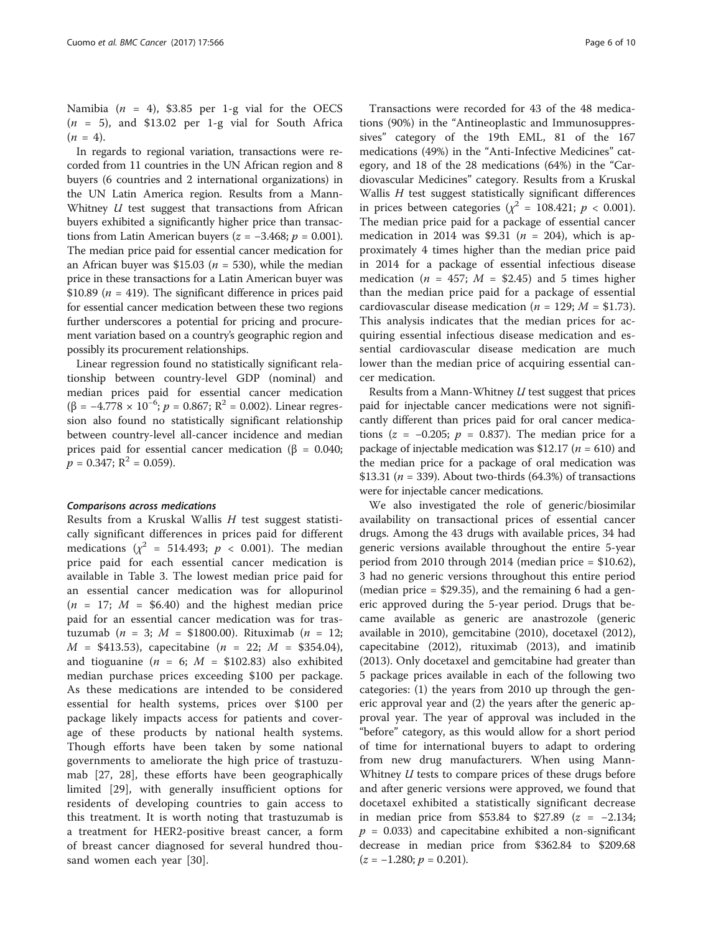Namibia ( $n = 4$ ), \$3.85 per 1-g vial for the OECS  $(n = 5)$ , and \$13.02 per 1-g vial for South Africa  $(n = 4)$ .

In regards to regional variation, transactions were recorded from 11 countries in the UN African region and 8 buyers (6 countries and 2 international organizations) in the UN Latin America region. Results from a Mann-Whitney *U* test suggest that transactions from African buyers exhibited a significantly higher price than transactions from Latin American buyers ( $z = -3.468$ ;  $p = 0.001$ ). The median price paid for essential cancer medication for an African buyer was \$15.03 ( $n = 530$ ), while the median price in these transactions for a Latin American buyer was \$10.89 ( $n = 419$ ). The significant difference in prices paid for essential cancer medication between these two regions further underscores a potential for pricing and procurement variation based on a country's geographic region and possibly its procurement relationships.

Linear regression found no statistically significant relationship between country-level GDP (nominal) and median prices paid for essential cancer medication  $(β = -4.778 × 10<sup>-6</sup>; p = 0.867; R<sup>2</sup> = 0.002)$ . Linear regression also found no statistically significant relationship between country-level all-cancer incidence and median prices paid for essential cancer medication (β = 0.040;  $p = 0.347$ ;  $R^2 = 0.059$ ).

#### Comparisons across medications

Results from a Kruskal Wallis  $H$  test suggest statistically significant differences in prices paid for different medications ( $\chi^2$  = 514.493;  $p$  < 0.001). The median price paid for each essential cancer medication is available in Table [3](#page-6-0). The lowest median price paid for an essential cancer medication was for allopurinol  $(n = 17; M = $6.40)$  and the highest median price paid for an essential cancer medication was for trastuzumab (*n* = 3; *M* = \$1800.00). Rituximab (*n* = 12;  $M = $413.53$ , capecitabine ( $n = 22$ ;  $M = $354.04$ ), and tioguanine ( $n = 6$ ;  $M = $102.83$ ) also exhibited median purchase prices exceeding \$100 per package. As these medications are intended to be considered essential for health systems, prices over \$100 per package likely impacts access for patients and coverage of these products by national health systems. Though efforts have been taken by some national governments to ameliorate the high price of trastuzumab [\[27](#page-8-0), [28](#page-9-0)], these efforts have been geographically limited [[29](#page-9-0)], with generally insufficient options for residents of developing countries to gain access to this treatment. It is worth noting that trastuzumab is a treatment for HER2-positive breast cancer, a form of breast cancer diagnosed for several hundred thousand women each year [\[30](#page-9-0)].

Transactions were recorded for 43 of the 48 medications (90%) in the "Antineoplastic and Immunosuppressives" category of the 19th EML, 81 of the 167 medications (49%) in the "Anti-Infective Medicines" category, and 18 of the 28 medications (64%) in the "Cardiovascular Medicines" category. Results from a Kruskal Wallis  $H$  test suggest statistically significant differences in prices between categories ( $\chi^2$  = 108.421;  $p < 0.001$ ). The median price paid for a package of essential cancer medication in 2014 was \$9.31 ( $n = 204$ ), which is approximately 4 times higher than the median price paid in 2014 for a package of essential infectious disease medication ( $n = 457$ ;  $M = $2.45$ ) and 5 times higher than the median price paid for a package of essential cardiovascular disease medication ( $n = 129$ ;  $M = $1.73$ ). This analysis indicates that the median prices for acquiring essential infectious disease medication and essential cardiovascular disease medication are much lower than the median price of acquiring essential cancer medication.

Results from a Mann-Whitney U test suggest that prices paid for injectable cancer medications were not significantly different than prices paid for oral cancer medications ( $z = -0.205$ ;  $p = 0.837$ ). The median price for a package of injectable medication was \$12.17 ( $n = 610$ ) and the median price for a package of oral medication was \$13.31 ( $n = 339$ ). About two-thirds (64.3%) of transactions were for injectable cancer medications.

We also investigated the role of generic/biosimilar availability on transactional prices of essential cancer drugs. Among the 43 drugs with available prices, 34 had generic versions available throughout the entire 5-year period from 2010 through 2014 (median price = \$10.62), 3 had no generic versions throughout this entire period (median price = \$29.35), and the remaining 6 had a generic approved during the 5-year period. Drugs that became available as generic are anastrozole (generic available in 2010), gemcitabine (2010), docetaxel (2012), capecitabine (2012), rituximab (2013), and imatinib (2013). Only docetaxel and gemcitabine had greater than 5 package prices available in each of the following two categories: (1) the years from 2010 up through the generic approval year and (2) the years after the generic approval year. The year of approval was included in the "before" category, as this would allow for a short period of time for international buyers to adapt to ordering from new drug manufacturers. When using Mann-Whitney U tests to compare prices of these drugs before and after generic versions were approved, we found that docetaxel exhibited a statistically significant decrease in median price from \$53.84 to \$27.89 ( $z = -2.134$ ;  $p = 0.033$ ) and capecitabine exhibited a non-significant decrease in median price from \$362.84 to \$209.68  $(z = -1.280; p = 0.201).$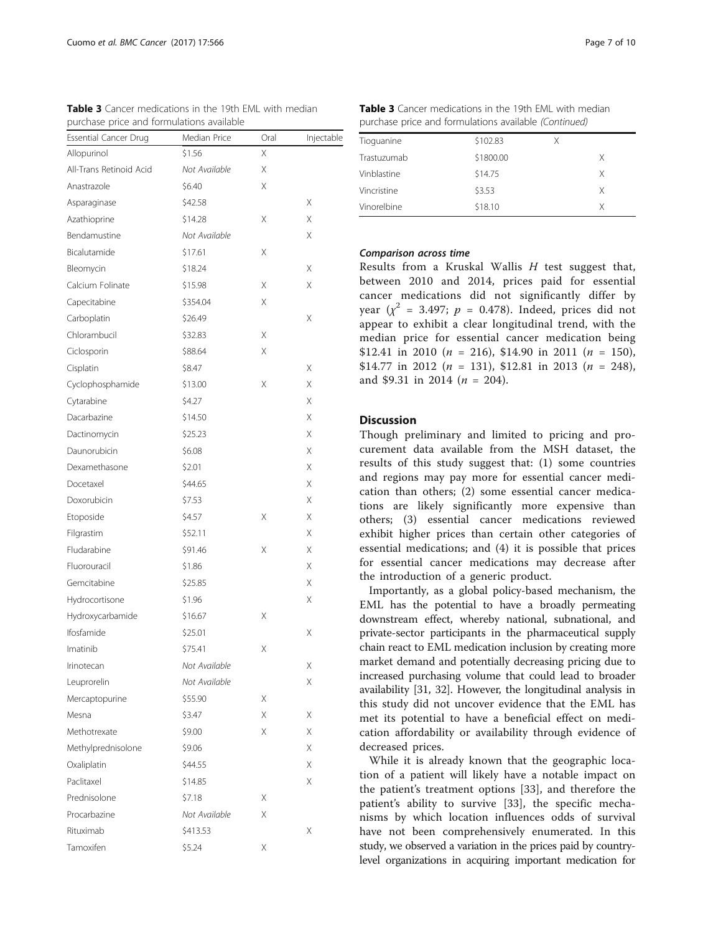| Essential Cancer Drug   | Median Price  | Oral | Injectable |
|-------------------------|---------------|------|------------|
| Allopurinol             | \$1.56        | Χ    |            |
| All-Trans Retinoid Acid | Not Available | Χ    |            |
| Anastrazole             | \$6.40        | Χ    |            |
| Asparaginase            | \$42.58       |      | Χ          |
| Azathioprine            | \$14.28       | Χ    | X          |
| Bendamustine            | Not Available |      | Χ          |
| Bicalutamide            | \$17.61       | Χ    |            |
| Bleomycin               | \$18.24       |      | Χ          |
| Calcium Folinate        | \$15.98       | Χ    | X          |
| Capecitabine            | \$354.04      | Χ    |            |
| Carboplatin             | \$26.49       |      | Χ          |
| Chlorambucil            | \$32.83       | X    |            |
| Ciclosporin             | \$88.64       | Χ    |            |
| Cisplatin               | \$8.47        |      | Χ          |
| Cyclophosphamide        | \$13.00       | X    | X          |
| Cytarabine              | \$4.27        |      | Χ          |
| Dacarbazine             | \$14.50       |      | X          |
| Dactinomycin            | \$25.23       |      | X          |
| Daunorubicin            | \$6.08        |      | Χ          |
| Dexamethasone           | \$2.01        |      | X          |
| Docetaxel               | \$44.65       |      | Χ          |
| Doxorubicin             | \$7.53        |      | Χ          |
| Etoposide               | \$4.57        | Χ    | X          |
| Filgrastim              | \$52.11       |      | Χ          |
| Fludarabine             | \$91.46       | Χ    | Χ          |
| Fluorouracil            | \$1.86        |      | X          |
| Gemcitabine             | \$25.85       |      | Χ          |
| Hydrocortisone          | \$1.96        |      | Χ          |
| Hydroxycarbamide        | \$16.67       | Χ    |            |
| Ifosfamide              | \$25.01       |      | Χ          |
| Imatinib                | \$75.41       | Χ    |            |
| Irinotecan              | Not Available |      | Χ          |
| Leuprorelin             | Not Available |      | X          |
| Mercaptopurine          | \$55.90       | Χ    |            |
| Mesna                   | \$3.47        | Χ    | Χ          |
| Methotrexate            | \$9.00        | Χ    | Χ          |
| Methylprednisolone      | \$9.06        |      | Χ          |
| Oxaliplatin             | \$44.55       |      | X          |
| Paclitaxel              | \$14.85       |      | X          |
| Prednisolone            | \$7.18        | Χ    |            |
| Procarbazine            | Not Available | Χ    |            |
| Rituximah               | \$413.53      |      | Χ          |
| Tamoxifen               | \$5.24        | Χ    |            |

<span id="page-6-0"></span>Table 3 Cancer medications in the 19th EML with median purchase price and formulations available

Table 3 Cancer medications in the 19th EML with median purchase price and formulations available (Continued)

| Tioquanine  | \$102.83  | Χ |   |
|-------------|-----------|---|---|
| Trastuzumab | \$1800.00 |   | Χ |
| Vinblastine | \$14.75   |   | X |
| Vincristine | \$3.53    |   | X |
| Vinorelbine | \$18.10   |   | Χ |

### Comparison across time

Results from a Kruskal Wallis  $H$  test suggest that, between 2010 and 2014, prices paid for essential cancer medications did not significantly differ by year ( $\chi^2$  = 3.497;  $p$  = 0.478). Indeed, prices did not appear to exhibit a clear longitudinal trend, with the median price for essential cancer medication being \$12.41 in 2010 ( $n = 216$ ), \$14.90 in 2011 ( $n = 150$ ), \$14.77 in 2012 ( $n = 131$ ), \$12.81 in 2013 ( $n = 248$ ), and \$9.31 in 2014 ( $n = 204$ ).

## **Discussion**

Though preliminary and limited to pricing and procurement data available from the MSH dataset, the results of this study suggest that: (1) some countries and regions may pay more for essential cancer medication than others; (2) some essential cancer medications are likely significantly more expensive than others; (3) essential cancer medications reviewed exhibit higher prices than certain other categories of essential medications; and (4) it is possible that prices for essential cancer medications may decrease after the introduction of a generic product.

Importantly, as a global policy-based mechanism, the EML has the potential to have a broadly permeating downstream effect, whereby national, subnational, and private-sector participants in the pharmaceutical supply chain react to EML medication inclusion by creating more market demand and potentially decreasing pricing due to increased purchasing volume that could lead to broader availability [\[31](#page-9-0), [32\]](#page-9-0). However, the longitudinal analysis in this study did not uncover evidence that the EML has met its potential to have a beneficial effect on medication affordability or availability through evidence of decreased prices.

While it is already known that the geographic location of a patient will likely have a notable impact on the patient's treatment options [\[33](#page-9-0)], and therefore the patient's ability to survive [[33\]](#page-9-0), the specific mechanisms by which location influences odds of survival have not been comprehensively enumerated. In this study, we observed a variation in the prices paid by countrylevel organizations in acquiring important medication for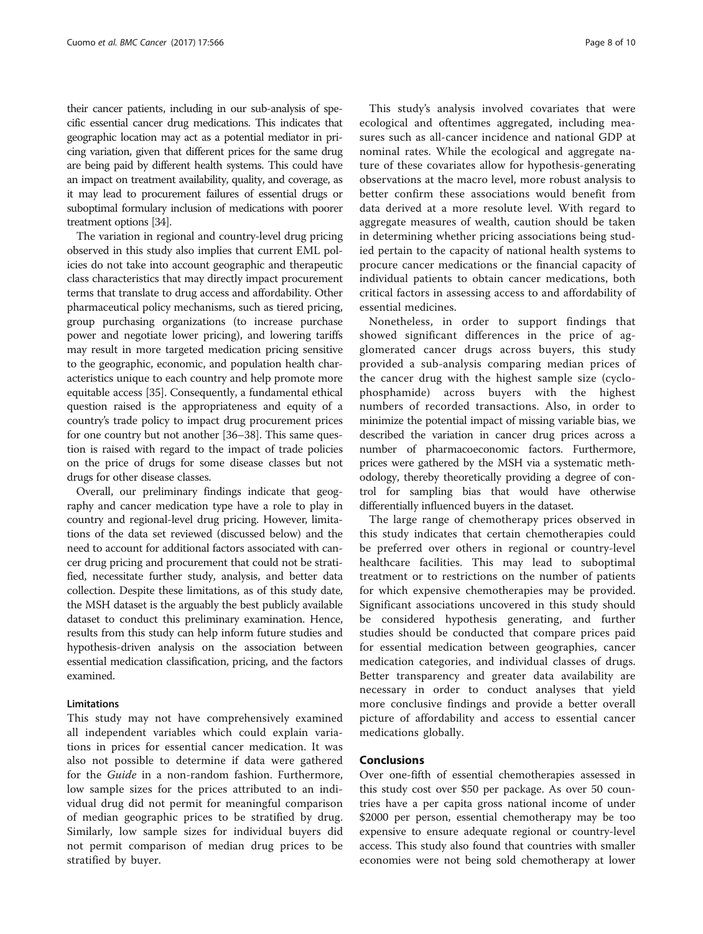their cancer patients, including in our sub-analysis of specific essential cancer drug medications. This indicates that geographic location may act as a potential mediator in pricing variation, given that different prices for the same drug are being paid by different health systems. This could have an impact on treatment availability, quality, and coverage, as it may lead to procurement failures of essential drugs or suboptimal formulary inclusion of medications with poorer treatment options [\[34\]](#page-9-0).

The variation in regional and country-level drug pricing observed in this study also implies that current EML policies do not take into account geographic and therapeutic class characteristics that may directly impact procurement terms that translate to drug access and affordability. Other pharmaceutical policy mechanisms, such as tiered pricing, group purchasing organizations (to increase purchase power and negotiate lower pricing), and lowering tariffs may result in more targeted medication pricing sensitive to the geographic, economic, and population health characteristics unique to each country and help promote more equitable access [\[35](#page-9-0)]. Consequently, a fundamental ethical question raised is the appropriateness and equity of a country's trade policy to impact drug procurement prices for one country but not another [[36](#page-9-0)–[38\]](#page-9-0). This same question is raised with regard to the impact of trade policies on the price of drugs for some disease classes but not drugs for other disease classes.

Overall, our preliminary findings indicate that geography and cancer medication type have a role to play in country and regional-level drug pricing. However, limitations of the data set reviewed (discussed below) and the need to account for additional factors associated with cancer drug pricing and procurement that could not be stratified, necessitate further study, analysis, and better data collection. Despite these limitations, as of this study date, the MSH dataset is the arguably the best publicly available dataset to conduct this preliminary examination. Hence, results from this study can help inform future studies and hypothesis-driven analysis on the association between essential medication classification, pricing, and the factors examined.

## Limitations

This study may not have comprehensively examined all independent variables which could explain variations in prices for essential cancer medication. It was also not possible to determine if data were gathered for the *Guide* in a non-random fashion. Furthermore, low sample sizes for the prices attributed to an individual drug did not permit for meaningful comparison of median geographic prices to be stratified by drug. Similarly, low sample sizes for individual buyers did not permit comparison of median drug prices to be stratified by buyer.

This study's analysis involved covariates that were ecological and oftentimes aggregated, including measures such as all-cancer incidence and national GDP at nominal rates. While the ecological and aggregate nature of these covariates allow for hypothesis-generating observations at the macro level, more robust analysis to better confirm these associations would benefit from data derived at a more resolute level. With regard to aggregate measures of wealth, caution should be taken in determining whether pricing associations being studied pertain to the capacity of national health systems to procure cancer medications or the financial capacity of individual patients to obtain cancer medications, both critical factors in assessing access to and affordability of essential medicines.

Nonetheless, in order to support findings that showed significant differences in the price of agglomerated cancer drugs across buyers, this study provided a sub-analysis comparing median prices of the cancer drug with the highest sample size (cyclophosphamide) across buyers with the highest numbers of recorded transactions. Also, in order to minimize the potential impact of missing variable bias, we described the variation in cancer drug prices across a number of pharmacoeconomic factors. Furthermore, prices were gathered by the MSH via a systematic methodology, thereby theoretically providing a degree of control for sampling bias that would have otherwise differentially influenced buyers in the dataset.

The large range of chemotherapy prices observed in this study indicates that certain chemotherapies could be preferred over others in regional or country-level healthcare facilities. This may lead to suboptimal treatment or to restrictions on the number of patients for which expensive chemotherapies may be provided. Significant associations uncovered in this study should be considered hypothesis generating, and further studies should be conducted that compare prices paid for essential medication between geographies, cancer medication categories, and individual classes of drugs. Better transparency and greater data availability are necessary in order to conduct analyses that yield more conclusive findings and provide a better overall picture of affordability and access to essential cancer medications globally.

## Conclusions

Over one-fifth of essential chemotherapies assessed in this study cost over \$50 per package. As over 50 countries have a per capita gross national income of under \$2000 per person, essential chemotherapy may be too expensive to ensure adequate regional or country-level access. This study also found that countries with smaller economies were not being sold chemotherapy at lower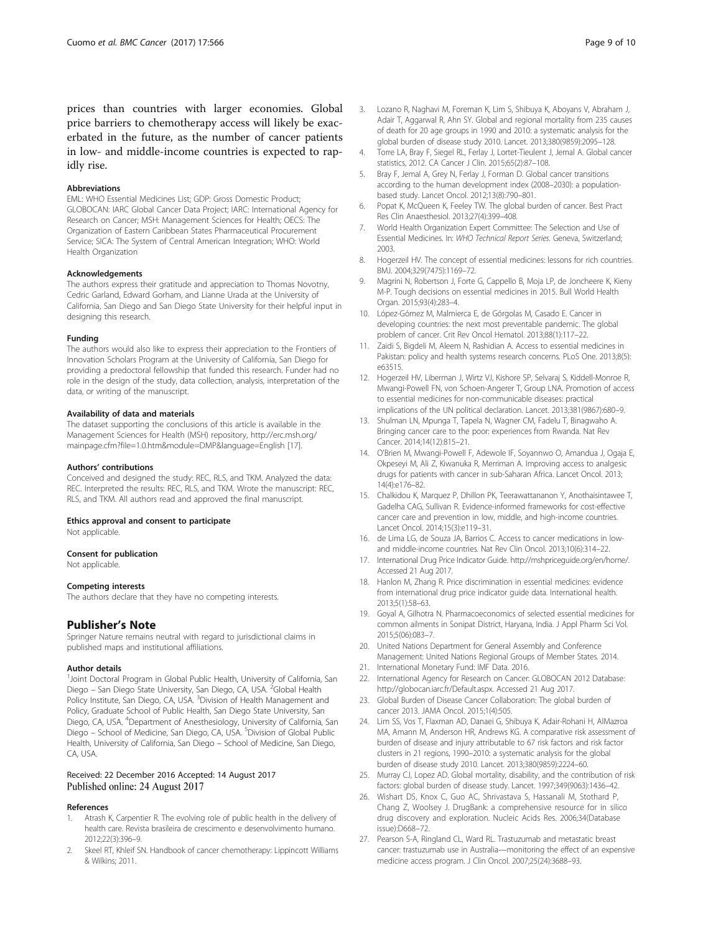<span id="page-8-0"></span>prices than countries with larger economies. Global price barriers to chemotherapy access will likely be exacerbated in the future, as the number of cancer patients in low- and middle-income countries is expected to rapidly rise.

#### Abbreviations

EML: WHO Essential Medicines List; GDP: Gross Domestic Product; GLOBOCAN: IARC Global Cancer Data Project; IARC: International Agency for Research on Cancer; MSH: Management Sciences for Health; OECS: The Organization of Eastern Caribbean States Pharmaceutical Procurement Service; SICA: The System of Central American Integration; WHO: World Health Organization

#### Acknowledgements

The authors express their gratitude and appreciation to Thomas Novotny, Cedric Garland, Edward Gorham, and Lianne Urada at the University of California, San Diego and San Diego State University for their helpful input in designing this research.

#### Funding

The authors would also like to express their appreciation to the Frontiers of Innovation Scholars Program at the University of California, San Diego for providing a predoctoral fellowship that funded this research. Funder had no role in the design of the study, data collection, analysis, interpretation of the data, or writing of the manuscript.

#### Availability of data and materials

The dataset supporting the conclusions of this article is available in the Management Sciences for Health (MSH) repository, [http://erc.msh.org/](http://erc.msh.org/mainpage.cfm?file=1.0.htm&module=DMP&language=English) [mainpage.cfm?file=1.0.htm&module=DMP&language=English](http://erc.msh.org/mainpage.cfm?file=1.0.htm&module=DMP&language=English) [17].

#### Authors' contributions

Conceived and designed the study: REC, RLS, and TKM. Analyzed the data: REC. Interpreted the results: REC, RLS, and TKM. Wrote the manuscript: REC, RLS, and TKM. All authors read and approved the final manuscript.

#### Ethics approval and consent to participate

Not applicable.

#### Consent for publication

Not applicable.

#### Competing interests

The authors declare that they have no competing interests.

## Publisher's Note

Springer Nature remains neutral with regard to jurisdictional claims in published maps and institutional affiliations.

#### Author details

<sup>1</sup> Joint Doctoral Program in Global Public Health, University of California, San Diego – San Diego State University, San Diego, CA, USA. <sup>2</sup>Global Health Policy Institute, San Diego, CA, USA. <sup>3</sup> Division of Health Management and Policy, Graduate School of Public Health, San Diego State University, San Diego, CA, USA. <sup>4</sup>Department of Anesthesiology, University of California, San Diego - School of Medicine, San Diego, CA, USA. <sup>5</sup>Division of Global Public Health, University of California, San Diego – School of Medicine, San Diego, CA, USA.

## Received: 22 December 2016 Accepted: 14 August 2017 Published online: 24 August 2017

#### References

- Atrash K, Carpentier R. The evolving role of public health in the delivery of health care. Revista brasileira de crescimento e desenvolvimento humano. 2012;22(3):396–9.
- Skeel RT, Khleif SN. Handbook of cancer chemotherapy: Lippincott Williams & Wilkins; 2011.
- 3. Lozano R, Naghavi M, Foreman K, Lim S, Shibuya K, Aboyans V, Abraham J, Adair T, Aggarwal R, Ahn SY. Global and regional mortality from 235 causes of death for 20 age groups in 1990 and 2010: a systematic analysis for the global burden of disease study 2010. Lancet. 2013;380(9859):2095–128.
- 4. Torre LA, Bray F, Siegel RL, Ferlay J, Lortet-Tieulent J, Jemal A. Global cancer statistics, 2012. CA Cancer J Clin. 2015;65(2):87–108.
- 5. Bray F, Jemal A, Grey N, Ferlay J, Forman D. Global cancer transitions according to the human development index (2008–2030): a populationbased study. Lancet Oncol. 2012;13(8):790–801.
- 6. Popat K, McQueen K, Feeley TW. The global burden of cancer. Best Pract Res Clin Anaesthesiol. 2013;27(4):399–408.
- 7. World Health Organization Expert Committee: The Selection and Use of Essential Medicines. In: WHO Technical Report Series. Geneva, Switzerland; 2003.
- 8. Hogerzeil HV. The concept of essential medicines: lessons for rich countries. BMJ. 2004;329(7475):1169–72.
- 9. Magrini N, Robertson J, Forte G, Cappello B, Moja LP, de Joncheere K, Kieny M-P. Tough decisions on essential medicines in 2015. Bull World Health Organ. 2015;93(4):283–4.
- 10. López-Gómez M, Malmierca E, de Górgolas M, Casado E. Cancer in developing countries: the next most preventable pandemic. The global problem of cancer. Crit Rev Oncol Hematol. 2013;88(1):117–22.
- 11. Zaidi S, Bigdeli M, Aleem N, Rashidian A. Access to essential medicines in Pakistan: policy and health systems research concerns. PLoS One. 2013;8(5): e63515.
- 12. Hogerzeil HV, Liberman J, Wirtz VJ, Kishore SP, Selvaraj S, Kiddell-Monroe R, Mwangi-Powell FN, von Schoen-Angerer T, Group LNA. Promotion of access to essential medicines for non-communicable diseases: practical implications of the UN political declaration. Lancet. 2013;381(9867):680–9.
- 13. Shulman LN, Mpunga T, Tapela N, Wagner CM, Fadelu T, Binagwaho A. Bringing cancer care to the poor: experiences from Rwanda. Nat Rev Cancer. 2014;14(12):815–21.
- 14. O'Brien M, Mwangi-Powell F, Adewole IF, Soyannwo O, Amandua J, Ogaja E, Okpeseyi M, Ali Z, Kiwanuka R, Merriman A. Improving access to analgesic drugs for patients with cancer in sub-Saharan Africa. Lancet Oncol. 2013; 14(4):e176–82.
- 15. Chalkidou K, Marquez P, Dhillon PK, Teerawattananon Y, Anothaisintawee T, Gadelha CAG, Sullivan R. Evidence-informed frameworks for cost-effective cancer care and prevention in low, middle, and high-income countries. Lancet Oncol. 2014;15(3):e119–31.
- 16. de Lima LG, de Souza JA, Barrios C. Access to cancer medications in lowand middle-income countries. Nat Rev Clin Oncol. 2013;10(6):314–22.
- 17. International Drug Price Indicator Guide.<http://mshpriceguide.org/en/home/>. Accessed 21 Aug 2017.
- 18. Hanlon M, Zhang R. Price discrimination in essential medicines: evidence from international drug price indicator guide data. International health. 2013;5(1):58–63.
- 19. Goyal A, Gilhotra N. Pharmacoeconomics of selected essential medicines for common ailments in Sonipat District, Haryana, India. J Appl Pharm Sci Vol. 2015;5(06):083–7.
- 20. United Nations Department for General Assembly and Conference Management: United Nations Regional Groups of Member States. 2014.
- 21. International Monetary Fund: IMF Data. 2016.
- 22. International Agency for Research on Cancer: GLOBOCAN 2012 Database: <http://globocan.iarc.fr/Default.aspx>. Accessed 21 Aug 2017.
- 23. Global Burden of Disease Cancer Collaboration: The global burden of cancer 2013. JAMA Oncol. 2015;1(4):505.
- 24. Lim SS, Vos T, Flaxman AD, Danaei G, Shibuya K, Adair-Rohani H, AlMazroa MA, Amann M, Anderson HR, Andrews KG. A comparative risk assessment of burden of disease and injury attributable to 67 risk factors and risk factor clusters in 21 regions, 1990–2010: a systematic analysis for the global burden of disease study 2010. Lancet. 2013;380(9859):2224–60.
- 25. Murray CJ, Lopez AD. Global mortality, disability, and the contribution of risk factors: global burden of disease study. Lancet. 1997;349(9063):1436–42.
- 26. Wishart DS, Knox C, Guo AC, Shrivastava S, Hassanali M, Stothard P, Chang Z, Woolsey J. DrugBank: a comprehensive resource for in silico drug discovery and exploration. Nucleic Acids Res. 2006;34(Database issue):D668–72.
- 27. Pearson S-A, Ringland CL, Ward RL. Trastuzumab and metastatic breast cancer: trastuzumab use in Australia—monitoring the effect of an expensive medicine access program. J Clin Oncol. 2007;25(24):3688–93.